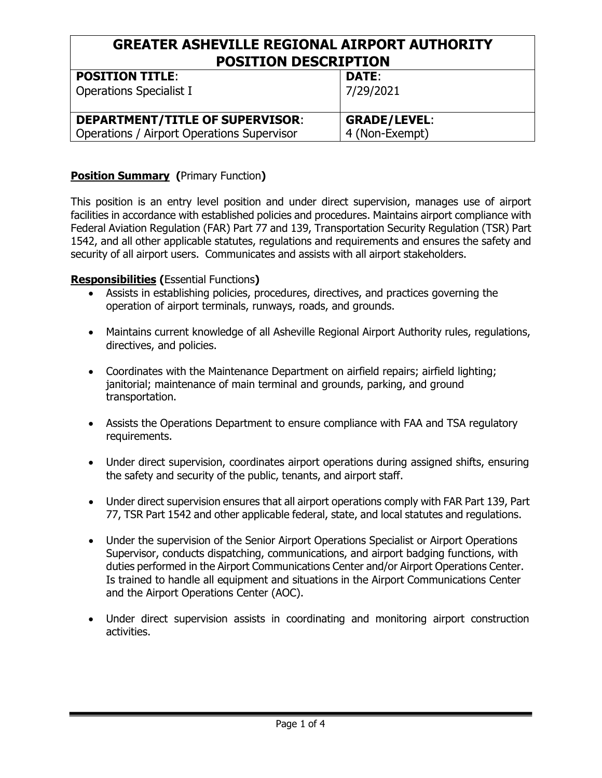#### **GREATER ASHEVILLE REGIONAL AIRPORT AUTHORITY POSITION DESCRIPTION POSITION TITLE**:

| <b>POSITION TITLE:</b>                     | DATE:               |
|--------------------------------------------|---------------------|
| <b>Operations Specialist I</b>             | 7/29/2021           |
| <b>DEPARTMENT/TITLE OF SUPERVISOR:</b>     | <b>GRADE/LEVEL:</b> |
| Operations / Airport Operations Supervisor | 4 (Non-Exempt)      |

### **Position Summary (**Primary Function**)**

This position is an entry level position and under direct supervision, manages use of airport facilities in accordance with established policies and procedures. Maintains airport compliance with Federal Aviation Regulation (FAR) Part 77 and 139, Transportation Security Regulation (TSR) Part 1542, and all other applicable statutes, regulations and requirements and ensures the safety and security of all airport users. Communicates and assists with all airport stakeholders.

#### **Responsibilities (**Essential Functions**)**

- Assists in establishing policies, procedures, directives, and practices governing the operation of airport terminals, runways, roads, and grounds.
- Maintains current knowledge of all Asheville Regional Airport Authority rules, regulations, directives, and policies.
- Coordinates with the Maintenance Department on airfield repairs; airfield lighting; janitorial; maintenance of main terminal and grounds, parking, and ground transportation.
- Assists the Operations Department to ensure compliance with FAA and TSA regulatory requirements.
- Under direct supervision, coordinates airport operations during assigned shifts, ensuring the safety and security of the public, tenants, and airport staff.
- Under direct supervision ensures that all airport operations comply with FAR Part 139, Part 77, TSR Part 1542 and other applicable federal, state, and local statutes and regulations.
- Under the supervision of the Senior Airport Operations Specialist or Airport Operations Supervisor, conducts dispatching, communications, and airport badging functions, with duties performed in the Airport Communications Center and/or Airport Operations Center. Is trained to handle all equipment and situations in the Airport Communications Center and the Airport Operations Center (AOC).
- Under direct supervision assists in coordinating and monitoring airport construction activities.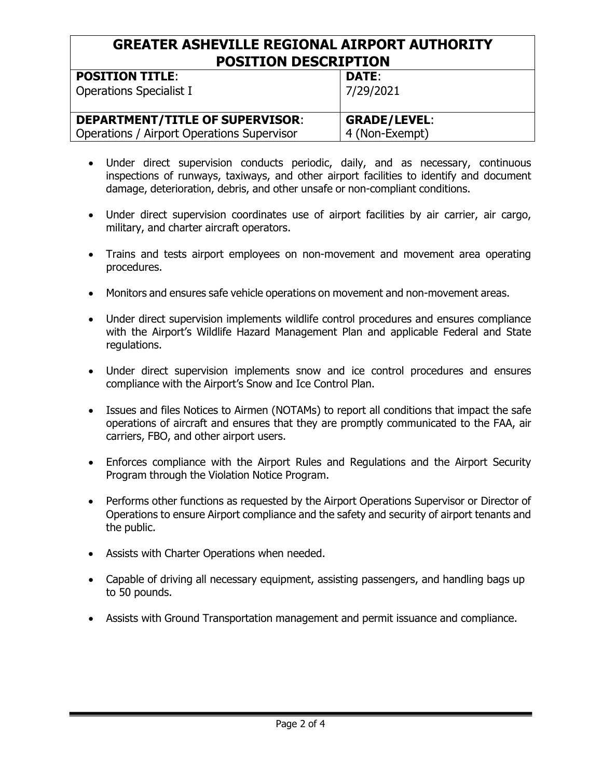#### **GREATER ASHEVILLE REGIONAL AIRPORT AUTHORITY POSITION DESCRIPTION POSITION TITLE**: **DATE**:

| PUSLILUN ILILE.                            | DAIE.               |
|--------------------------------------------|---------------------|
| <b>Operations Specialist I</b>             | 7/29/2021           |
| <b>DEPARTMENT/TITLE OF SUPERVISOR:</b>     | <b>GRADE/LEVEL:</b> |
| Operations / Airport Operations Supervisor | 4 (Non-Exempt)      |

- Under direct supervision conducts periodic, daily, and as necessary, continuous inspections of runways, taxiways, and other airport facilities to identify and document damage, deterioration, debris, and other unsafe or non-compliant conditions.
- Under direct supervision coordinates use of airport facilities by air carrier, air cargo, military, and charter aircraft operators.
- Trains and tests airport employees on non-movement and movement area operating procedures.
- Monitors and ensures safe vehicle operations on movement and non-movement areas.
- Under direct supervision implements wildlife control procedures and ensures compliance with the Airport's Wildlife Hazard Management Plan and applicable Federal and State regulations.
- Under direct supervision implements snow and ice control procedures and ensures compliance with the Airport's Snow and Ice Control Plan.
- Issues and files Notices to Airmen (NOTAMs) to report all conditions that impact the safe operations of aircraft and ensures that they are promptly communicated to the FAA, air carriers, FBO, and other airport users.
- Enforces compliance with the Airport Rules and Regulations and the Airport Security Program through the Violation Notice Program.
- Performs other functions as requested by the Airport Operations Supervisor or Director of Operations to ensure Airport compliance and the safety and security of airport tenants and the public.
- Assists with Charter Operations when needed.
- Capable of driving all necessary equipment, assisting passengers, and handling bags up to 50 pounds.
- Assists with Ground Transportation management and permit issuance and compliance.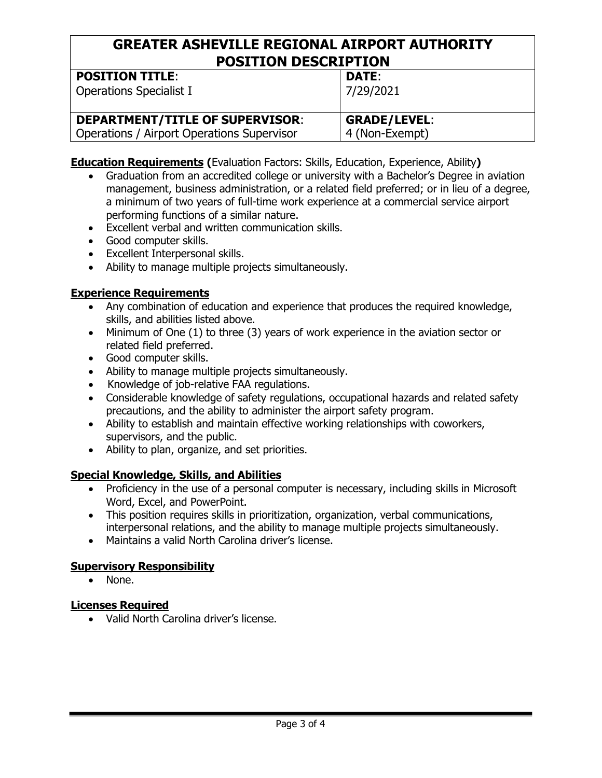#### **GREATER ASHEVILLE REGIONAL AIRPORT AUTHORITY POSITION DESCRIPTION POSITION TITLE**:

| <b>POSITION TITLE:</b>                     | DATE:          |
|--------------------------------------------|----------------|
| <b>Operations Specialist I</b>             | 7/29/2021      |
| <b>DEPARTMENT/TITLE OF SUPERVISOR:</b>     | GRADE/LEVEL:   |
| Operations / Airport Operations Supervisor | 4 (Non-Exempt) |
|                                            |                |

**Education Requirements (**Evaluation Factors: Skills, Education, Experience, Ability**)** 

- Graduation from an accredited college or university with a Bachelor's Degree in aviation management, business administration, or a related field preferred; or in lieu of a degree, a minimum of two years of full-time work experience at a commercial service airport performing functions of a similar nature.
- Excellent verbal and written communication skills.
- Good computer skills.
- Excellent Interpersonal skills.
- Ability to manage multiple projects simultaneously.

#### **Experience Requirements**

- Any combination of education and experience that produces the required knowledge, skills, and abilities listed above.
- Minimum of One (1) to three (3) years of work experience in the aviation sector or related field preferred.
- Good computer skills.
- Ability to manage multiple projects simultaneously.
- Knowledge of job-relative FAA regulations.
- Considerable knowledge of safety regulations, occupational hazards and related safety precautions, and the ability to administer the airport safety program.
- Ability to establish and maintain effective working relationships with coworkers, supervisors, and the public.
- Ability to plan, organize, and set priorities.

# **Special Knowledge, Skills, and Abilities**

- Proficiency in the use of a personal computer is necessary, including skills in Microsoft Word, Excel, and PowerPoint.
- This position requires skills in prioritization, organization, verbal communications, interpersonal relations, and the ability to manage multiple projects simultaneously.
- Maintains a valid North Carolina driver's license.

# **Supervisory Responsibility**

• None.

# **Licenses Required**

• Valid North Carolina driver's license.